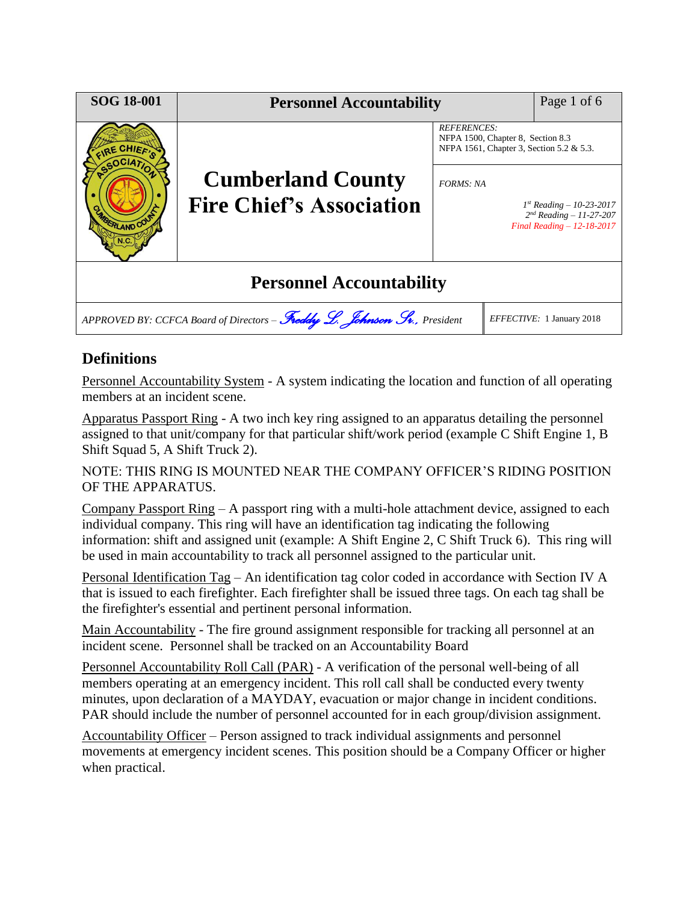| <b>SOG 18-001</b>                                                        | <b>Personnel Accountability</b>                             |                                                                                                     |  | Page 1 of 6                                                                                  |
|--------------------------------------------------------------------------|-------------------------------------------------------------|-----------------------------------------------------------------------------------------------------|--|----------------------------------------------------------------------------------------------|
| 2E CHIEF,<br><b>RLAND COL</b>                                            |                                                             | <b>REFERENCES:</b><br>NFPA 1500, Chapter 8, Section 8.3<br>NFPA 1561, Chapter 3, Section 5.2 & 5.3. |  |                                                                                              |
|                                                                          | <b>Cumberland County</b><br><b>Fire Chief's Association</b> | <b>FORMS: NA</b>                                                                                    |  | $1^{st}$ Reading – 10-23-2017<br>$2^{nd}$ Reading - 11-27-207<br>Final Reading $-12-18-2017$ |
| <b>Personnel Accountability</b>                                          |                                                             |                                                                                                     |  |                                                                                              |
| APPROVED BY: CCFCA Board of Directors - Freddy L. Johnson Sv., President |                                                             |                                                                                                     |  | EFFECTIVE: 1 January 2018                                                                    |

# **Definitions**

Personnel Accountability System - A system indicating the location and function of all operating members at an incident scene.

Apparatus Passport Ring - A two inch key ring assigned to an apparatus detailing the personnel assigned to that unit/company for that particular shift/work period (example C Shift Engine 1, B Shift Squad 5, A Shift Truck 2).

NOTE: THIS RING IS MOUNTED NEAR THE COMPANY OFFICER'S RIDING POSITION OF THE APPARATUS.

Company Passport Ring – A passport ring with a multi-hole attachment device, assigned to each individual company. This ring will have an identification tag indicating the following information: shift and assigned unit (example: A Shift Engine 2, C Shift Truck 6). This ring will be used in main accountability to track all personnel assigned to the particular unit.

Personal Identification Tag – An identification tag color coded in accordance with Section IV A that is issued to each firefighter. Each firefighter shall be issued three tags. On each tag shall be the firefighter's essential and pertinent personal information.

Main Accountability - The fire ground assignment responsible for tracking all personnel at an incident scene. Personnel shall be tracked on an Accountability Board

Personnel Accountability Roll Call (PAR) - A verification of the personal well-being of all members operating at an emergency incident. This roll call shall be conducted every twenty minutes, upon declaration of a MAYDAY, evacuation or major change in incident conditions. PAR should include the number of personnel accounted for in each group/division assignment.

Accountability Officer – Person assigned to track individual assignments and personnel movements at emergency incident scenes. This position should be a Company Officer or higher when practical.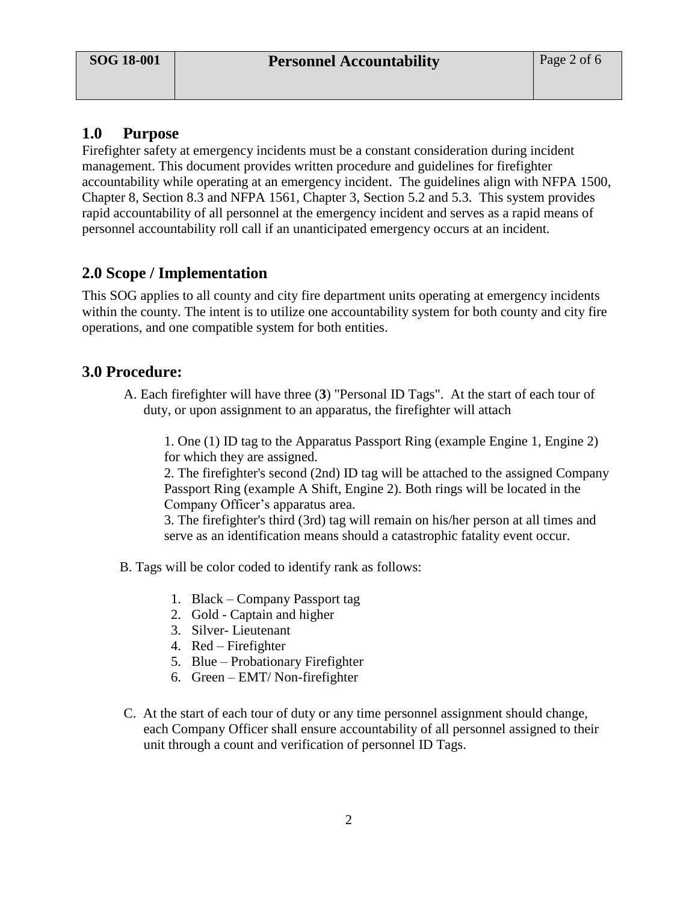## **1.0 Purpose**

Firefighter safety at emergency incidents must be a constant consideration during incident management. This document provides written procedure and guidelines for firefighter accountability while operating at an emergency incident. The guidelines align with NFPA 1500, Chapter 8, Section 8.3 and NFPA 1561, Chapter 3, Section 5.2 and 5.3. This system provides rapid accountability of all personnel at the emergency incident and serves as a rapid means of personnel accountability roll call if an unanticipated emergency occurs at an incident.

# **2.0 Scope / Implementation**

This SOG applies to all county and city fire department units operating at emergency incidents within the county. The intent is to utilize one accountability system for both county and city fire operations, and one compatible system for both entities.

## **3.0 Procedure:**

 A. Each firefighter will have three (**3**) "Personal ID Tags". At the start of each tour of duty, or upon assignment to an apparatus, the firefighter will attach

1. One (1) ID tag to the Apparatus Passport Ring (example Engine 1, Engine 2) for which they are assigned.

2. The firefighter's second (2nd) ID tag will be attached to the assigned Company Passport Ring (example A Shift, Engine 2). Both rings will be located in the Company Officer's apparatus area.

3. The firefighter's third (3rd) tag will remain on his/her person at all times and serve as an identification means should a catastrophic fatality event occur.

- B. Tags will be color coded to identify rank as follows:
	- 1. Black Company Passport tag
	- 2. Gold Captain and higher
	- 3. Silver- Lieutenant
	- 4. Red Firefighter
	- 5. Blue Probationary Firefighter
	- 6. Green EMT/ Non-firefighter
- C. At the start of each tour of duty or any time personnel assignment should change, each Company Officer shall ensure accountability of all personnel assigned to their unit through a count and verification of personnel ID Tags.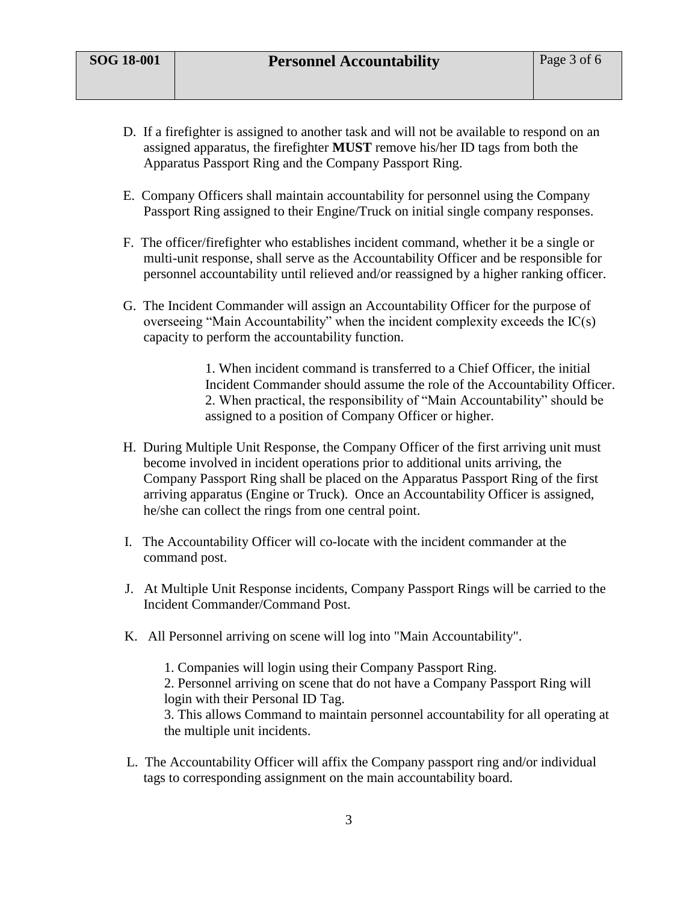- D. If a firefighter is assigned to another task and will not be available to respond on an assigned apparatus, the firefighter **MUST** remove his/her ID tags from both the Apparatus Passport Ring and the Company Passport Ring.
- E. Company Officers shall maintain accountability for personnel using the Company Passport Ring assigned to their Engine/Truck on initial single company responses.
- F. The officer/firefighter who establishes incident command, whether it be a single or multi-unit response, shall serve as the Accountability Officer and be responsible for personnel accountability until relieved and/or reassigned by a higher ranking officer.
- G. The Incident Commander will assign an Accountability Officer for the purpose of overseeing "Main Accountability" when the incident complexity exceeds the IC(s) capacity to perform the accountability function.

1. When incident command is transferred to a Chief Officer, the initial Incident Commander should assume the role of the Accountability Officer. 2. When practical, the responsibility of "Main Accountability" should be assigned to a position of Company Officer or higher.

- H. During Multiple Unit Response, the Company Officer of the first arriving unit must become involved in incident operations prior to additional units arriving, the Company Passport Ring shall be placed on the Apparatus Passport Ring of the first arriving apparatus (Engine or Truck). Once an Accountability Officer is assigned, he/she can collect the rings from one central point.
- I. The Accountability Officer will co-locate with the incident commander at the command post.
- J. At Multiple Unit Response incidents, Company Passport Rings will be carried to the Incident Commander/Command Post.
- K. All Personnel arriving on scene will log into "Main Accountability".

1. Companies will login using their Company Passport Ring. 2. Personnel arriving on scene that do not have a Company Passport Ring will login with their Personal ID Tag. 3. This allows Command to maintain personnel accountability for all operating at the multiple unit incidents.

 L. The Accountability Officer will affix the Company passport ring and/or individual tags to corresponding assignment on the main accountability board.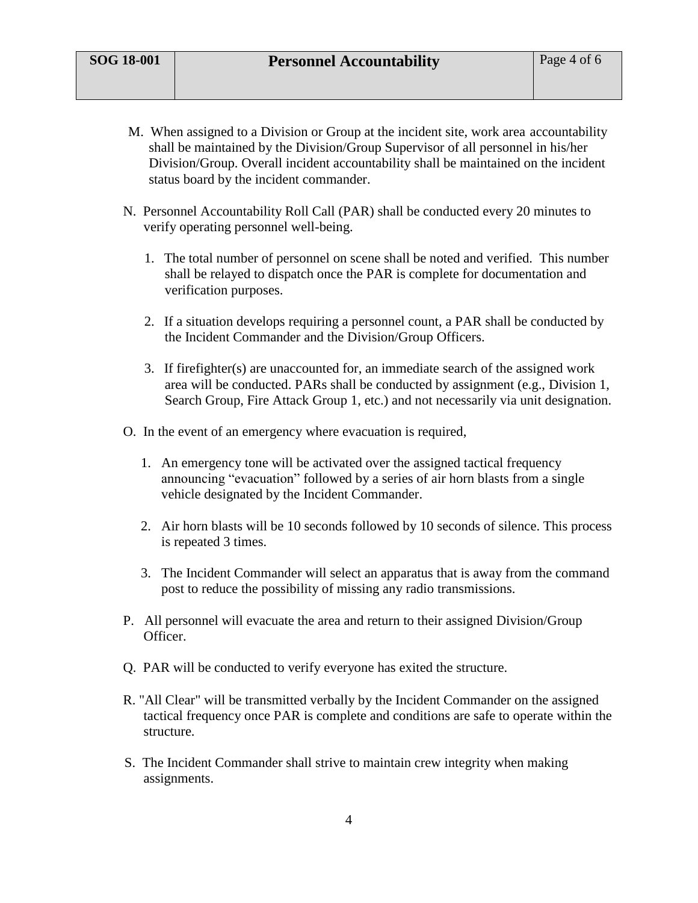- M. When assigned to a Division or Group at the incident site, work area accountability shall be maintained by the Division/Group Supervisor of all personnel in his/her Division/Group. Overall incident accountability shall be maintained on the incident status board by the incident commander.
- N. Personnel Accountability Roll Call (PAR) shall be conducted every 20 minutes to verify operating personnel well-being.
	- 1. The total number of personnel on scene shall be noted and verified. This number shall be relayed to dispatch once the PAR is complete for documentation and verification purposes.
	- 2. If a situation develops requiring a personnel count, a PAR shall be conducted by the Incident Commander and the Division/Group Officers.
	- 3. If firefighter(s) are unaccounted for, an immediate search of the assigned work area will be conducted. PARs shall be conducted by assignment (e.g., Division 1, Search Group, Fire Attack Group 1, etc.) and not necessarily via unit designation.
- O. In the event of an emergency where evacuation is required,
	- 1. An emergency tone will be activated over the assigned tactical frequency announcing "evacuation" followed by a series of air horn blasts from a single vehicle designated by the Incident Commander.
	- 2. Air horn blasts will be 10 seconds followed by 10 seconds of silence. This process is repeated 3 times.
	- 3. The Incident Commander will select an apparatus that is away from the command post to reduce the possibility of missing any radio transmissions.
- P. All personnel will evacuate the area and return to their assigned Division/Group Officer.
- Q. PAR will be conducted to verify everyone has exited the structure.
- R. "All Clear" will be transmitted verbally by the Incident Commander on the assigned tactical frequency once PAR is complete and conditions are safe to operate within the structure.
- S. The Incident Commander shall strive to maintain crew integrity when making assignments.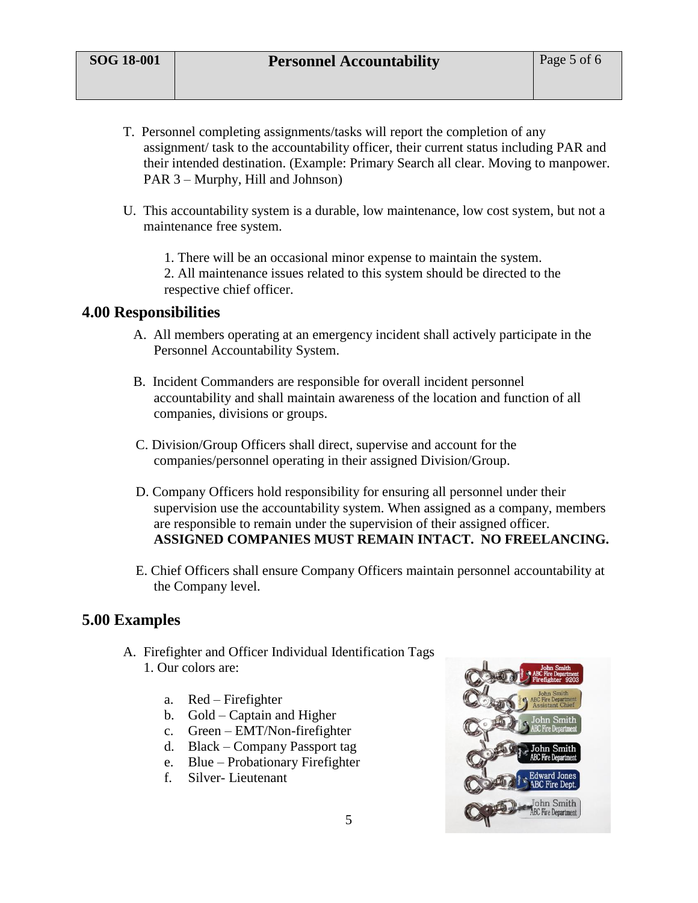- T. Personnel completing assignments/tasks will report the completion of any assignment/ task to the accountability officer, their current status including PAR and their intended destination. (Example: Primary Search all clear. Moving to manpower. PAR 3 – Murphy, Hill and Johnson)
- U. This accountability system is a durable, low maintenance, low cost system, but not a maintenance free system.

1. There will be an occasional minor expense to maintain the system. 2. All maintenance issues related to this system should be directed to the respective chief officer.

#### **4.00 Responsibilities**

- A. All members operating at an emergency incident shall actively participate in the Personnel Accountability System.
- B. Incident Commanders are responsible for overall incident personnel accountability and shall maintain awareness of the location and function of all companies, divisions or groups.
- C. Division/Group Officers shall direct, supervise and account for the companies/personnel operating in their assigned Division/Group.
- D. Company Officers hold responsibility for ensuring all personnel under their supervision use the accountability system. When assigned as a company, members are responsible to remain under the supervision of their assigned officer. **ASSIGNED COMPANIES MUST REMAIN INTACT. NO FREELANCING.**
- E. Chief Officers shall ensure Company Officers maintain personnel accountability at the Company level.

### **5.00 Examples**

- A. Firefighter and Officer Individual Identification Tags 1. Our colors are:
	- a. Red Firefighter
	- b. Gold Captain and Higher
	- c. Green EMT/Non-firefighter
	- d. Black Company Passport tag
	- e. Blue Probationary Firefighter
	- f. Silver- Lieutenant